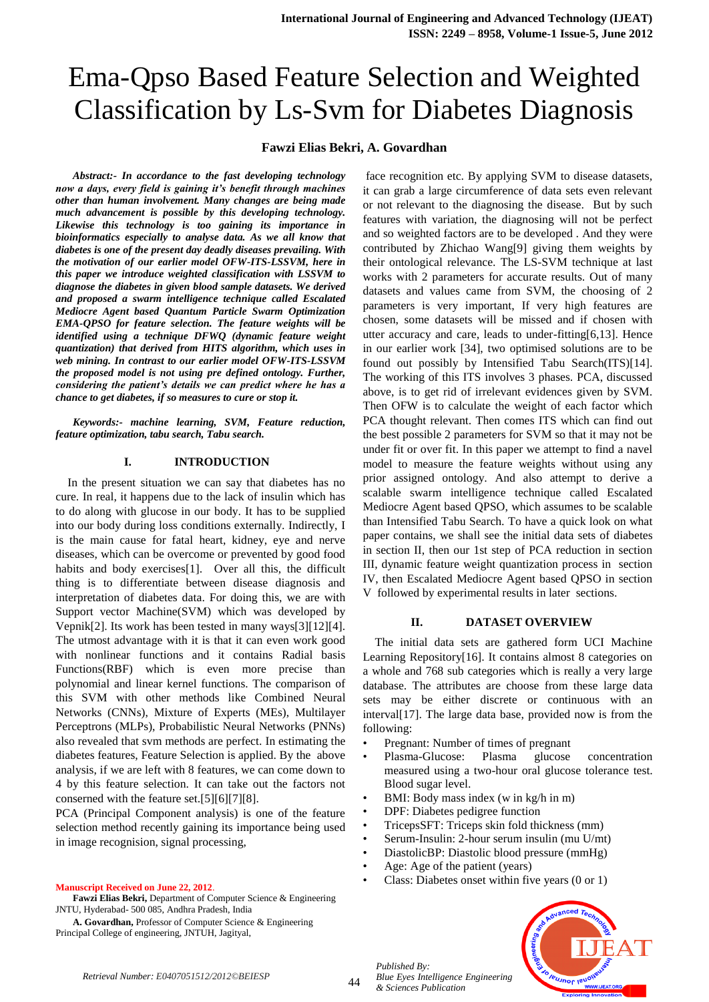# **Fawzi Elias Bekri, A. Govardhan**

*Abstract:- In accordance to the fast developing technology now a days, every field is gaining it's benefit through machines other than human involvement. Many changes are being made much advancement is possible by this developing technology. Likewise this technology is too gaining its importance in bioinformatics especially to analyse data. As we all know that diabetes is one of the present day deadly diseases prevailing. With the motivation of our earlier model OFW-ITS-LSSVM, here in this paper we introduce weighted classification with LSSVM to diagnose the diabetes in given blood sample datasets. We derived and proposed a swarm intelligence technique called Escalated Mediocre Agent based Quantum Particle Swarm Optimization EMA-QPSO for feature selection. The feature weights will be identified using a technique DFWQ (dynamic feature weight quantization) that derived from HITS algorithm, which uses in web mining. In contrast to our earlier model OFW-ITS-LSSVM the proposed model is not using pre defined ontology. Further, considering the patient's details we can predict where he has a chance to get diabetes, if so measures to cure or stop it.*

*Keywords:- machine learning, SVM, Feature reduction, feature optimization, tabu search, Tabu search.*

## **I. INTRODUCTION**

In the present situation we can say that diabetes has no cure. In real, it happens due to the lack of insulin which has to do along with glucose in our body. It has to be supplied into our body during loss conditions externally. Indirectly, I is the main cause for fatal heart, kidney, eye and nerve diseases, which can be overcome or prevented by good food habits and body exercises[1]. Over all this, the difficult thing is to differentiate between disease diagnosis and interpretation of diabetes data. For doing this, we are with Support vector Machine(SVM) which was developed by Vepnik[2]. Its work has been tested in many ways[3][12][4]. The utmost advantage with it is that it can even work good with nonlinear functions and it contains Radial basis Functions(RBF) which is even more precise than polynomial and linear kernel functions. The comparison of this SVM with other methods like Combined Neural Networks (CNNs), Mixture of Experts (MEs), Multilayer Perceptrons (MLPs), Probabilistic Neural Networks (PNNs) also revealed that svm methods are perfect. In estimating the diabetes features, Feature Selection is applied. By the above analysis, if we are left with 8 features, we can come down to 4 by this feature selection. It can take out the factors not conserned with the feature set.[5][6][7][8].

PCA (Principal Component analysis) is one of the feature selection method recently gaining its importance being used in image recognision, signal processing,

#### **Manuscript Received on June 22, 2012**.

**Fawzi Elias Bekri,** Department of Computer Science & Engineering JNTU, Hyderabad- 500 085, Andhra Pradesh, India

**A. Govardhan,** Professor of Computer Science & Engineering Principal College of engineering, JNTUH, Jagityal,

face recognition etc. By applying SVM to disease datasets, it can grab a large circumference of data sets even relevant or not relevant to the diagnosing the disease. But by such features with variation, the diagnosing will not be perfect and so weighted factors are to be developed . And they were contributed by Zhichao Wang[9] giving them weights by their ontological relevance. The LS-SVM technique at last works with 2 parameters for accurate results. Out of many datasets and values came from SVM, the choosing of 2 parameters is very important, If very high features are chosen, some datasets will be missed and if chosen with utter accuracy and care, leads to under-fitting[6,13]. Hence in our earlier work [34], two optimised solutions are to be found out possibly by Intensified Tabu Search(ITS)[14]. The working of this ITS involves 3 phases. PCA, discussed above, is to get rid of irrelevant evidences given by SVM. Then OFW is to calculate the weight of each factor which PCA thought relevant. Then comes ITS which can find out the best possible 2 parameters for SVM so that it may not be under fit or over fit. In this paper we attempt to find a navel model to measure the feature weights without using any prior assigned ontology. And also attempt to derive a scalable swarm intelligence technique called Escalated Mediocre Agent based QPSO, which assumes to be scalable than Intensified Tabu Search. To have a quick look on what paper contains, we shall see the initial data sets of diabetes in section II, then our 1st step of PCA reduction in section III, dynamic feature weight quantization process in section IV, then Escalated Mediocre Agent based QPSO in section V followed by experimental results in later sections.

## **II. DATASET OVERVIEW**

The initial data sets are gathered form UCI Machine Learning Repository[16]. It contains almost 8 categories on a whole and 768 sub categories which is really a very large database. The attributes are choose from these large data sets may be either discrete or continuous with an interval[17]. The large data base, provided now is from the following:

- Pregnant: Number of times of pregnant
- Plasma-Glucose: Plasma glucose concentration measured using a two-hour oral glucose tolerance test. Blood sugar level.
- BMI: Body mass index (w in kg/h in m)
- DPF: Diabetes pedigree function
- TricepsSFT: Triceps skin fold thickness (mm)
- Serum-Insulin: 2-hour serum insulin (mu U/mt)
- DiastolicBP: Diastolic blood pressure (mmHg)
- Age: Age of the patient (years)

*Blue Eyes Intelligence Engineering* 

Class: Diabetes onset within five years (0 or 1)



*Published By:*

*& Sciences Publication*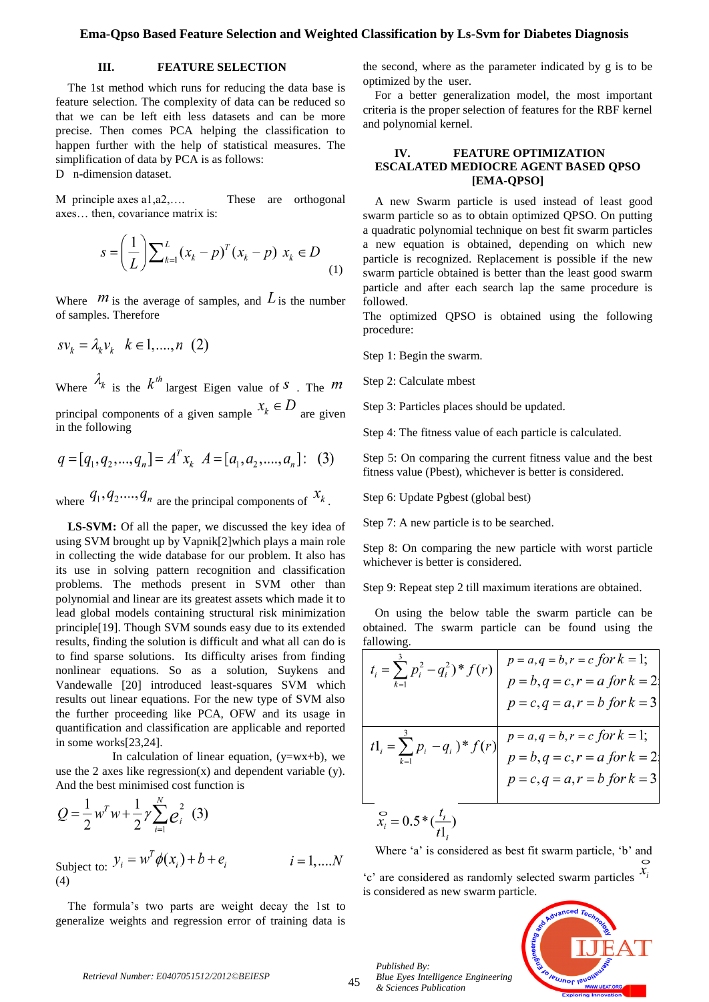# **III. FEATURE SELECTION**

The 1st method which runs for reducing the data base is feature selection. The complexity of data can be reduced so that we can be left eith less datasets and can be more precise. Then comes PCA helping the classification to happen further with the help of statistical measures. The simplification of data by PCA is as follows:

D n-dimension dataset.

M principle axes a1,a2,…. These are orthogonal axes… then, covariance matrix is:

$$
s = \left(\frac{1}{L}\right) \sum_{k=1}^{L} (x_k - p)^T (x_k - p) \ x_k \in D
$$
 (1)

Where  $m$  is the average of samples, and  $L$  is the number of samples. Therefore

$$
s v_k = \lambda_k v_k \quad k \in 1, \dots, n \ (2)
$$

Where  $\lambda_k$  is the  $k^{th}$  largest Eigen value of S. The M principal components of a given sample  $x_k \in D$  are given in the following

$$
q = [q_1, q_2, ..., q_n] = A^T x_k \quad A = [a_1, a_2, ..., a_n]: \quad (3)
$$

where  $q_1, q_2, \ldots, q_n$  are the principal components of  $x_k$ .

LS-SVM: Of all the paper, we discussed the key idea of using SVM brought up by Vapnik[2]which plays a main role in collecting the wide database for our problem. It also has its use in solving pattern recognition and classification problems. The methods present in SVM other than polynomial and linear are its greatest assets which made it to lead global models containing structural risk minimization principle[19]. Though SVM sounds easy due to its extended results, finding the solution is difficult and what all can do is to find sparse solutions. Its difficulty arises from finding nonlinear equations. So as a solution, Suykens and Vandewalle [20] introduced least-squares SVM which results out linear equations. For the new type of SVM also the further proceeding like PCA, OFW and its usage in quantification and classification are applicable and reported in some works[23,24].

In calculation of linear equation,  $(y=wx+b)$ , we use the 2 axes like regression $(x)$  and dependent variable  $(y)$ . And the best minimised cost function is

$$
Q = \frac{1}{2} w^T w + \frac{1}{2} \gamma \sum_{i=1}^N e_i^2
$$
 (3)

Subject to:  $y_i = w^T \phi(x_i) + b + e_i$  $i = 1,...,N$ (4)

The formula's two parts are weight decay the 1st to generalize weights and regression error of training data is the second, where as the parameter indicated by g is to be optimized by the user.

For a better generalization model, the most important criteria is the proper selection of features for the RBF kernel and polynomial kernel.

## **IV. FEATURE OPTIMIZATION ESCALATED MEDIOCRE AGENT BASED QPSO [EMA-QPSO]**

A new Swarm particle is used instead of least good swarm particle so as to obtain optimized QPSO. On putting a quadratic polynomial technique on best fit swarm particles a new equation is obtained, depending on which new particle is recognized. Replacement is possible if the new swarm particle obtained is better than the least good swarm particle and after each search lap the same procedure is followed.

The optimized QPSO is obtained using the following procedure:

Step 1: Begin the swarm.

Step 2: Calculate mbest

Step 3: Particles places should be updated.

Step 4: The fitness value of each particle is calculated.

Step 5: On comparing the current fitness value and the best fitness value (Pbest), whichever is better is considered.

Step 6: Update Pgbest (global best)

Step 7: A new particle is to be searched.

Step 8: On comparing the new particle with worst particle whichever is better is considered.

Step 9: Repeat step 2 till maximum iterations are obtained.

On using the below table the swarm particle can be obtained. The swarm particle can be found using the fallowing.

$$
\begin{aligned}\n t_i &= \sum_{k=1}^3 p_i^2 - q_i^2 \cdot \frac{s}{f(r)} \\
p &= a, q = b, r = c \text{ for } k = 1; \\
p &= b, q = c, r = a \text{ for } k = 2; \\
p &= c, q = a, r = b \text{ for } k = 3\n \end{aligned}
$$
\n
$$
t_1 = \sum_{k=1}^3 p_i - q_i \cdot \frac{s}{f(r)} \quad\n \begin{aligned}\n p &= a, q = b, r = c \text{ for } k = 1; \\
p &= a, q = b, r = c \text{ for } k = 1; \\
p &= b, q = c, r = a \text{ for } k = 2; \\
p &= c, q = a, r = b \text{ for } k = 3\n \end{aligned}
$$
\n
$$
\sum_{k=1}^3 \sum_{j=1}^3 p_j \cdot \frac{q_j}{t_1} \cdot \frac{q_j}{t_2} \cdot \frac{q_j}{t_3} \cdot \frac{q_j}{t_1} \cdot \frac{q_j}{t_3} \cdot \frac{q_j}{t_1} \cdot \frac{q_j}{t_3} \cdot \frac{q_j}{t_1} \cdot \frac{q_j}{t_3} \cdot \frac{q_j}{t_3} \cdot \frac{q_j}{t_3} \cdot \frac{q_j}{t_3} \cdot \frac{q_j}{t_3} \cdot \frac{q_j}{t_3} \cdot \frac{q_j}{t_3} \cdot \frac{q_j}{t_3} \cdot \frac{q_j}{t_3} \cdot \frac{q_j}{t_3} \cdot \frac{q_j}{t_3} \cdot \frac{q_j}{t_3} \cdot \frac{q_j}{t_3} \cdot \frac{q_j}{t_3} \cdot \frac{q_j}{t_3} \cdot \frac{q_j}{t_3} \cdot \frac{q_j}{t_3} \cdot \frac{q_j}{t_3} \cdot \frac{q_j}{t_3} \cdot \frac{q_j}{t_3} \cdot \frac{q_j}{t_3} \cdot \frac{q_j}{t_3} \cdot \frac{q_j}{t_3} \cdot \frac{q_j}{t_3} \cdot \frac{q_j}{t_3} \cdot \frac{q_j}{t_3} \cdot \frac{q_j}{t_3} \cdot \frac{q_j}{t_3} \cdot \frac{q_j}{t_3} \cdot \frac{q_j}{t_3} \cdot \frac{q_j}{
$$

Where 'a' is considered as best fit swarm particle, 'b' and  $\lambda$ <sup>'</sup>c' are considered as randomly selected swarm particles  $\lambda$ <sup>'</sup>

is considered as new swarm particle.*<u>EUJNOL IENO</u>* 

*Retrieval Number: E0407051512/2012©BEIESP*

*Published By:*

*& Sciences Publication*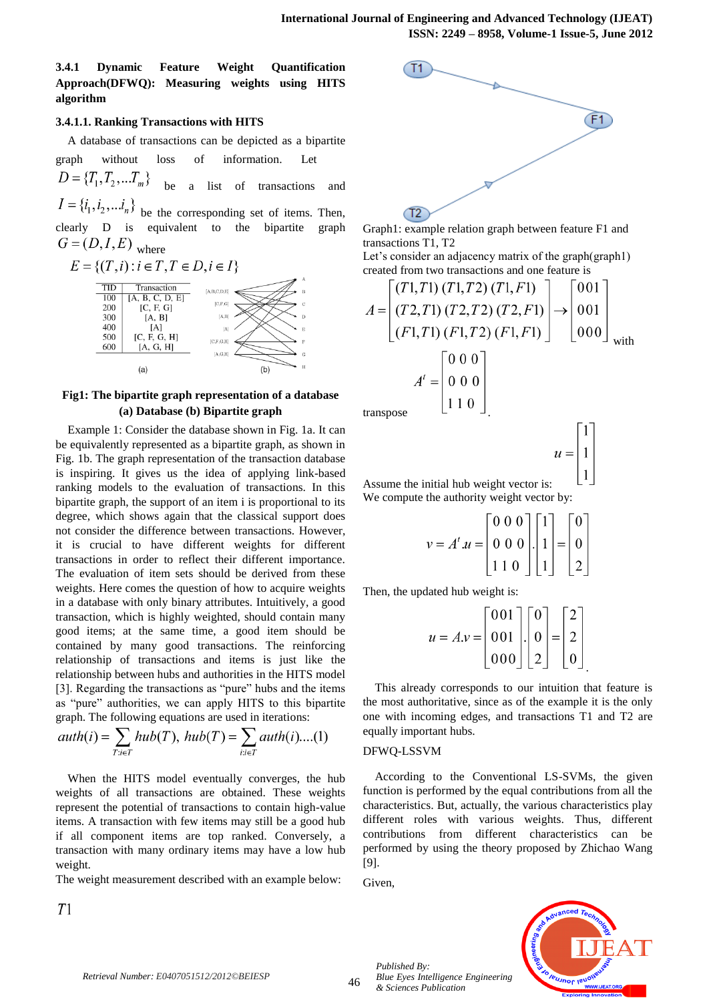**3.4.1 Dynamic Feature Weight Quantification Approach(DFWQ): Measuring weights using HITS algorithm**

## **3.4.1.1. Ranking Transactions with HITS**

A database of transactions can be depicted as a bipartite

graph without loss of information. Let  $D = \{T_1, T_2, ... T_m\}$ be a list of transactions and

 $I = \{i_1, i_2, \dots i_n\}$  be the corresponding set of items. Then, clearly D is equivalent to the bipartite graph  $G = (D, I, E)$ <sub>where</sub>



# **Fig1: The bipartite graph representation of a database (a) Database (b) Bipartite graph**

Example 1: Consider the database shown in Fig. 1a. It can be equivalently represented as a bipartite graph, as shown in Fig. 1b. The graph representation of the transaction database is inspiring. It gives us the idea of applying link-based ranking models to the evaluation of transactions. In this bipartite graph, the support of an item i is proportional to its degree, which shows again that the classical support does not consider the difference between transactions. However, it is crucial to have different weights for different transactions in order to reflect their different importance. The evaluation of item sets should be derived from these weights. Here comes the question of how to acquire weights in a database with only binary attributes. Intuitively, a good transaction, which is highly weighted, should contain many good items; at the same time, a good item should be contained by many good transactions. The reinforcing relationship of transactions and items is just like the relationship between hubs and authorities in the HITS model [3]. Regarding the transactions as "pure" hubs and the items as "pure" authorities, we can apply HITS to this bipartite graph. The following equations are used in iterations:

*auth*(*i*) = 
$$
\sum_{T:i \in T} hub(T)
$$
, *hub*(*T*) =  $\sum_{i:i \in T}auth(i)...(1)$ 

When the HITS model eventually converges, the hub weights of all transactions are obtained. These weights represent the potential of transactions to contain high-value items. A transaction with few items may still be a good hub if all component items are top ranked. Conversely, a transaction with many ordinary items may have a low hub weight.

The weight measurement described with an example below:

 $T1$ 



Graph1: example relation graph between feature F1 and transactions T1, T2

Let's consider an adjacency matrix of the graph(graph1) created from two transactions and one feature is

$$
A = \begin{bmatrix} (T1, T1) (T1, T2) (T1, F1) \\ (T2, T1) (T2, T2) (T2, F1) \\ (F1, T1) (F1, T2) (F1, F1) \end{bmatrix} \rightarrow \begin{bmatrix} 001 \\ 001 \\ 000 \end{bmatrix}
$$
  

$$
A' = \begin{bmatrix} 0 & 0 & 0 \\ 0 & 0 & 0 \\ 1 & 1 & 0 \end{bmatrix}
$$

transpose .

$$
u = \begin{bmatrix} 1 \\ 1 \\ 1 \end{bmatrix}
$$

.

Assume the initial hub weight vector is: We compute the authority weight vector by:

$$
v = At.u = \begin{bmatrix} 0 & 0 & 0 \\ 0 & 0 & 0 \\ 1 & 1 & 0 \end{bmatrix} \begin{bmatrix} 1 \\ 1 \\ 1 \end{bmatrix} = \begin{bmatrix} 0 \\ 0 \\ 2 \end{bmatrix}
$$

Then, the updated hub weight is:

$$
u = A \cdot v = \begin{bmatrix} 0 & 0 & 1 \\ 0 & 0 & 1 \\ 0 & 0 & 0 \end{bmatrix} \cdot \begin{bmatrix} 0 \\ 0 \\ 2 \end{bmatrix} = \begin{bmatrix} 2 \\ 2 \\ 0 \end{bmatrix}
$$

This already corresponds to our intuition that feature is the most authoritative, since as of the example it is the only one with incoming edges, and transactions T1 and T2 are equally important hubs.

## DFWQ-LSSVM

According to the Conventional LS-SVMs, the given function is performed by the equal contributions from all the characteristics. But, actually, the various characteristics play different roles with various weights. Thus, different contributions from different characteristics can be performed by using the theory proposed by Zhichao Wang [9].

Given,

*Published By:*

*& Sciences Publication* 

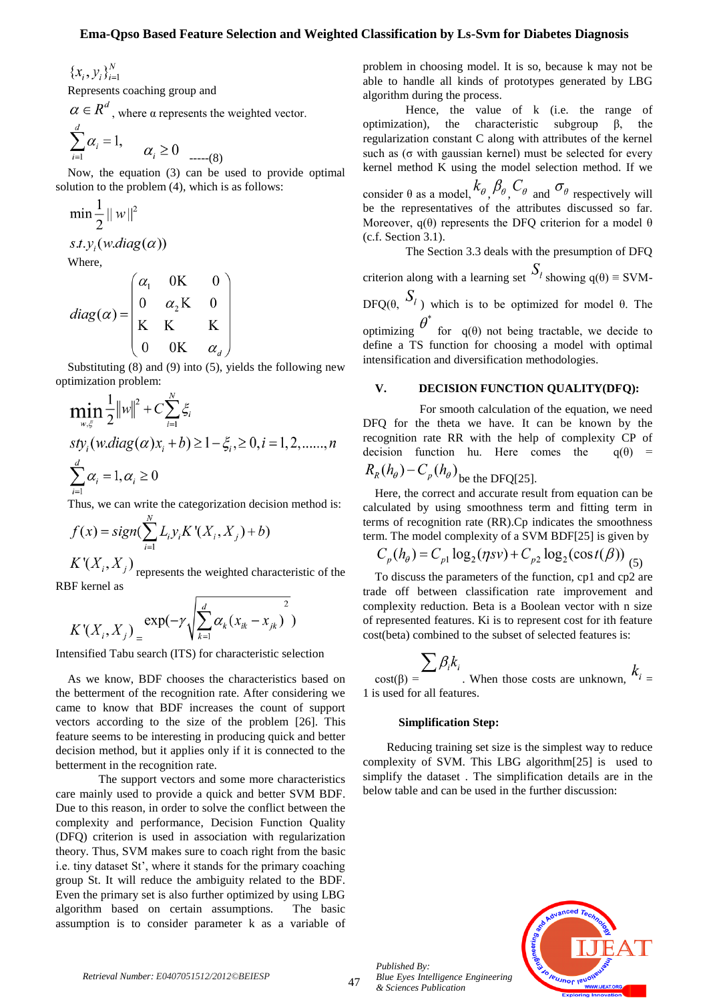${x_i, y_i}_{i=1}^N$ 

Represents coaching group and

 $\alpha \in R^d$ , where  $\alpha$  represents the weighted vector.

$$
\sum_{i=1}^{d} \alpha_i = 1, \qquad \alpha_i \ge 0 \qquad (8)
$$

Now, the equation (3) can be used to provide optimal solution to the problem (4), which is as follows:

$$
\min \frac{1}{2} ||w||^2
$$
  
s.t.  $y_i(w.diag(\alpha))$   
Where,

 $\mathbf{1}$ 

$$
diag(\alpha) = \begin{pmatrix} \alpha_1 & 0K & 0 \\ 0 & \alpha_2 K & 0 \\ K & K & K \\ 0 & 0K & \alpha_d \end{pmatrix}
$$

Substituting (8) and (9) into (5), yields the following new optimization problem:

$$
\min_{w,\xi} \frac{1}{2} ||w||^2 + C \sum_{i=1}^{N} \xi_i
$$
  
*sty<sub>i</sub>*(*w*.diag( $\alpha$ )*x<sub>i</sub>* + *b*)  $\ge 1 - \xi_i, \ge 0, i = 1, 2, \dots, n$   

$$
\sum_{i=1}^{d} \alpha_i = 1, \alpha_i \ge 0
$$

Thus, we can write the categorization decision method is:

$$
f(x) = sign(\sum_{i=1}^{N} L_i y_i K'(X_i, X_j) + b)
$$

 $K'(X_i, X_j)$  represents the weighted characteristic of the RBF kernel as

$$
K'(X_i, X_j) = \exp(-\gamma \sqrt{\sum_{k=1}^d \alpha_k (x_{ik} - x_{jk})^2})
$$

Intensified Tabu search (ITS) for characteristic selection

As we know, BDF chooses the characteristics based on the betterment of the recognition rate. After considering we came to know that BDF increases the count of support vectors according to the size of the problem [26]. This feature seems to be interesting in producing quick and better decision method, but it applies only if it is connected to the betterment in the recognition rate.

The support vectors and some more characteristics care mainly used to provide a quick and better SVM BDF. Due to this reason, in order to solve the conflict between the complexity and performance, Decision Function Quality (DFQ) criterion is used in association with regularization theory. Thus, SVM makes sure to coach right from the basic i.e. tiny dataset St', where it stands for the primary coaching group St. It will reduce the ambiguity related to the BDF. Even the primary set is also further optimized by using LBG algorithm based on certain assumptions. The basic assumption is to consider parameter k as a variable of problem in choosing model. It is so, because k may not be able to handle all kinds of prototypes generated by LBG algorithm during the process.

Hence, the value of k (i.e. the range of optimization), the characteristic subgroup β, the regularization constant C along with attributes of the kernel such as ( $\sigma$  with gaussian kernel) must be selected for every kernel method K using the model selection method. If we

consider  $\theta$  as a model,  $k_{\theta}$ ,  $\beta_{\theta}$ ,  $C_{\theta}$  and  $\sigma_{\theta}$  respectively will be the representatives of the attributes discussed so far. Moreover,  $q(\theta)$  represents the DFQ criterion for a model  $\theta$ (c.f. Section 3.1).

The Section 3.3 deals with the presumption of DFQ

criterion along with a learning set  $S_l$  showing  $q(\theta) \equiv$  SVM-DFO( $\theta$ ,  $S_l$ ) which is to be optimized for model  $\theta$ . The

optimizing  $\theta$  for q(θ) not being tractable, we decide to define a TS function for choosing a model with optimal intensification and diversification methodologies.

## **V. DECISION FUNCTION QUALITY(DFQ):**

 For smooth calculation of the equation, we need DFQ for the theta we have. It can be known by the recognition rate RR with the help of complexity CP of decision function hu. Here comes the  $q(\theta) = R_n(h_0) - C(h_0)$  $C(h)$ 

$$
R_R(n_\theta) - C_p(n_\theta)_{\text{be the DFQ[25].}}
$$

Here, the correct and accurate result from equation can be calculated by using smoothness term and fitting term in terms of recognition rate (RR).Cp indicates the smoothness term. The model complexity of a SVM BDF[25] is given by

$$
C_p(h_{\theta}) = C_{p1} \log_2(\eta s v) + C_{p2} \log_2(\cos t(\beta))
$$
 (5)

To discuss the parameters of the function, cp1 and cp2 are trade off between classification rate improvement and complexity reduction. Beta is a Boolean vector with n size of represented features. Ki is to represent cost for ith feature cost(beta) combined to the subset of selected features is:

$$
\sum_{\text{cost}(\beta)} \sum_{i} \beta_i k_i
$$
\n
$$
k_i = 1
$$
 is used for all features.

#### **Simplification Step:**

 Reducing training set size is the simplest way to reduce complexity of SVM. This LBG algorithm[25] is used to simplify the dataset . The simplification details are in the below table and can be used in the further discussion:



*Retrieval Number: E0407051512/2012©BEIESP*

*Published By:*

*& Sciences Publication*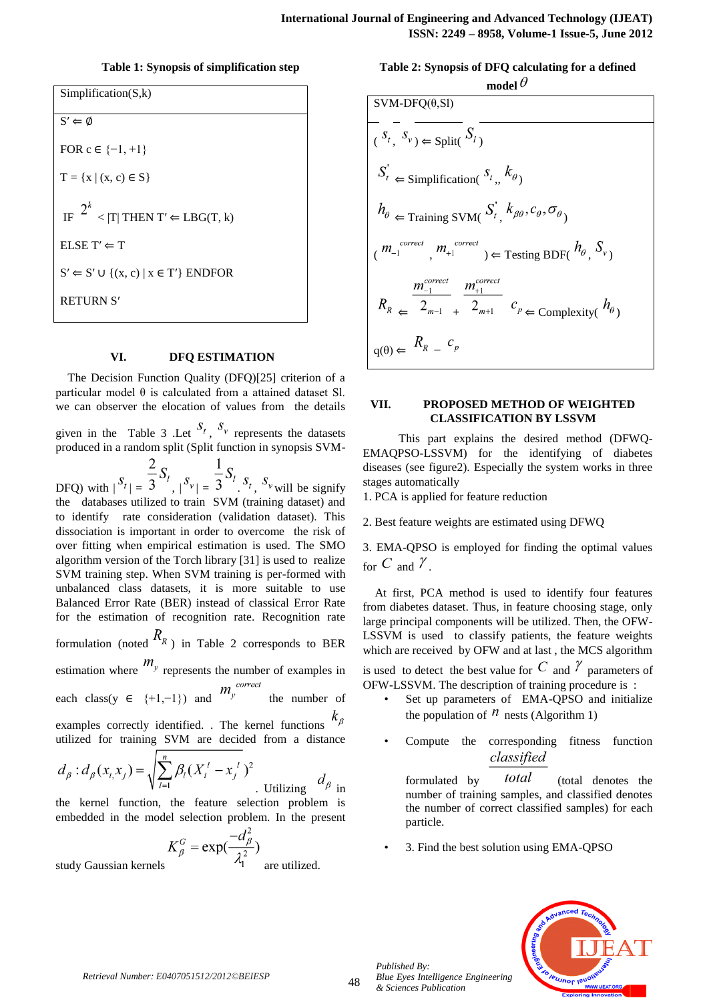# **Table 1: Synopsis of simplification step**

Simplification(S,k)  $S' \Leftarrow \emptyset$ FOR  $c \in \{-1, +1\}$  $T = \{x \mid (x, c) \in S\}$ IF  $2^{k}$  < IT| THEN T'  $\Leftarrow$  LBG(T, k) ELSE T' $\Leftarrow$  T  $S' \leftarrow S' \cup \{(x, c) \mid x \in T'\}$  ENDFOR RETURN S′

# **VI. DFQ ESTIMATION**

The Decision Function Quality (DFQ)[25] criterion of a particular model θ is calculated from a attained dataset Sl. we can observer the elocation of values from the details

given in the Table 3 .Let  $S_t$ ,  $S_v$  represents the datasets produced in a random split (Split function in synopsis SVM-

DFQ) with  $|S_t| = \frac{2}{3} S_t$ ,  $|S_v| = \frac{1}{3} S_t$ ,  $S_t$ ,  $S_v$  will be signify the databases utilized to train SVM (training dataset) and to identify rate consideration (validation dataset). This dissociation is important in order to overcome the risk of over fitting when empirical estimation is used. The SMO algorithm version of the Torch library [31] is used to realize SVM training step. When SVM training is per-formed with unbalanced class datasets, it is more suitable to use Balanced Error Rate (BER) instead of classical Error Rate for the estimation of recognition rate. Recognition rate formulation (noted  $R_R$ ) in Table 2 corresponds to BER

estimation where  $m_y$  represents the number of examples in<br>each class  $m_y$   $m_y$  correct  $m_y$ 

each class(y ∈ {+1,-1}) and  $m_y$  the number of examples correctly identified. . The kernel functions

utilized for training SVM are decided from a distance

$$
d_{\beta}: d_{\beta}(x_i, x_j) = \sqrt{\sum_{l=1}^n \beta_l (X_l^l - x_j^l)^2}
$$
   
Utilizing  $d_{\beta}$  in

the kernel function, the feature selection problem is embedded in the model selection problem. In the present

$$
K_{\beta}^G = \exp(\frac{-d_{\beta}^2}{\lambda^2})
$$

study Gaussian kernels  $\mathcal{A}_1$  are utilized.

**Table 2: Synopsis of DFQ calculating for a defined**  model  $\theta$ 

| $SVM-DFQ(\theta,Sl)$                                                                                                                                                     |
|--------------------------------------------------------------------------------------------------------------------------------------------------------------------------|
| $(S_t, S_v) \in Split(S_t)$                                                                                                                                              |
| $S_t \leftarrow$ Simplification( $S_t, K_{\theta}$ )                                                                                                                     |
| $h_{\theta}$ $\Leftarrow$ Training SVM( $S_t, k_{\beta\theta}, c_{\theta}, \sigma_{\theta}$ )                                                                            |
| $\left( \begin{array}{ccc} m_{-1}^{correct} & m_{+1}^{correct} \end{array} \right) \Leftarrow$ Testing BDF( $h_{\theta_{1}}$ , $S_{\nu_{1}}$ )                           |
| $\frac{m_{-1}^{correct}}{m_{+1}^{correct}}$<br>$R_R \leftarrow \frac{1}{2_{m-1}} \frac{1}{2_{m+1}} \frac{c_p}{c_p} \leftarrow \text{Complexity}(\frac{h_{\theta}}{c_p})$ |
| $q(\theta) \Leftarrow \begin{bmatrix} R_R & c_p \end{bmatrix}$                                                                                                           |

## **VII. PROPOSED METHOD OF WEIGHTED CLASSIFICATION BY LSSVM**

 This part explains the desired method (DFWQ-EMAQPSO-LSSVM) for the identifying of diabetes diseases (see figure2). Especially the system works in three stages automatically

1. PCA is applied for feature reduction

2. Best feature weights are estimated using DFWQ

3. EMA-QPSO is employed for finding the optimal values for C and  $\ell$ 

At first, PCA method is used to identify four features from diabetes dataset. Thus, in feature choosing stage, only large principal components will be utilized. Then, the OFW-LSSVM is used to classify patients, the feature weights which are received by OFW and at last , the MCS algorithm

is used to detect the best value for C and  $\gamma$  parameters of OFW-LSSVM. The description of training procedure is :

- Set up parameters of EMA-QPSO and initialize the population of  $n$  nests (Algorithm 1)
- Compute the corresponding fitness function classified

formulated by *total* (total denotes the number of training samples, and classified denotes the number of correct classified samples) for each particle.

• 3. Find the best solution using EMA-QPSO



*Published By:*

*& Sciences Publication*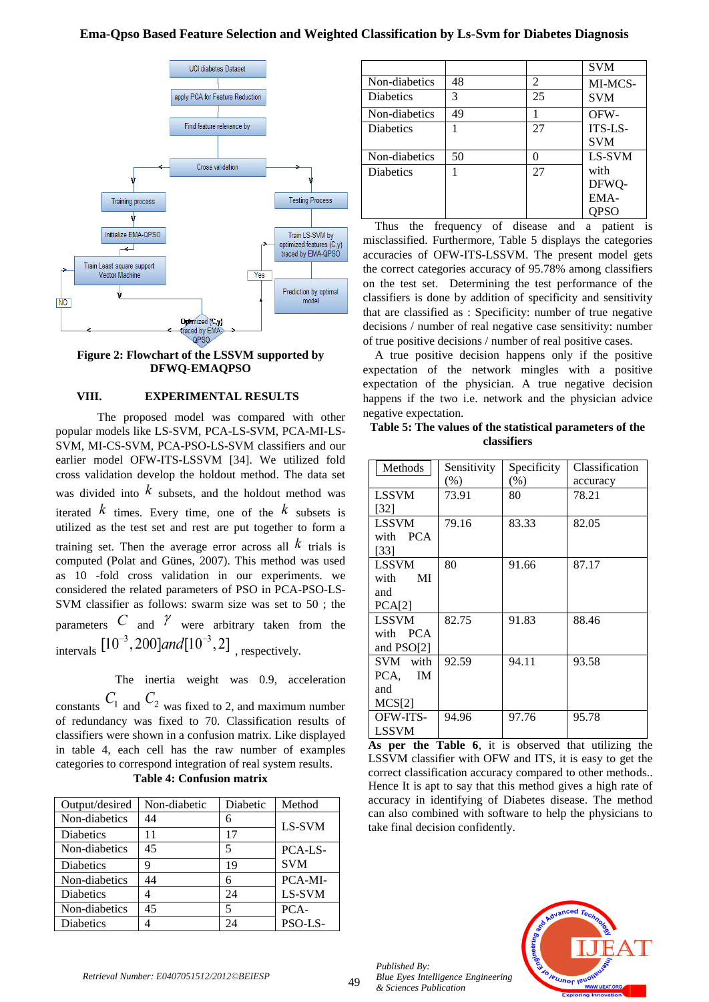

**Figure 2: Flowchart of the LSSVM supported by DFWQ-EMAQPSO**

# **VIII. EXPERIMENTAL RESULTS**

 The proposed model was compared with other popular models like LS-SVM, PCA-LS-SVM, PCA-MI-LS-SVM, MI-CS-SVM, PCA-PSO-LS-SVM classifiers and our earlier model OFW-ITS-LSSVM [34]. We utilized fold cross validation develop the holdout method. The data set was divided into  $k$  subsets, and the holdout method was iterated  $k$  times. Every time, one of the  $k$  subsets is utilized as the test set and rest are put together to form a training set. Then the average error across all  $k$  trials is computed (Polat and Günes, 2007). This method was used as 10 -fold cross validation in our experiments. we considered the related parameters of PSO in PCA-PSO-LS-SVM classifier as follows: swarm size was set to 50 ; the parameters C and  $\gamma$  were arbitrary taken from the intervals  $[10^{-3}, 200]$  and  $[10^{-3}, 2]$ <sub>, respectively.</sub>

 The inertia weight was 0.9, acceleration constants  $C_1$  and  $C_2$  was fixed to 2, and maximum number of redundancy was fixed to 70. Classification results of classifiers were shown in a confusion matrix. Like displayed in table 4, each cell has the raw number of examples categories to correspond integration of real system results. **Table 4: Confusion matrix**

| Output/desired   | Non-diabetic | Diabetic | Method     |
|------------------|--------------|----------|------------|
| Non-diabetics    | 44           | 6        | LS-SVM     |
| <b>Diabetics</b> | ۱1           | 17       |            |
| Non-diabetics    | 45           | 5        | PCA-LS-    |
| <b>Diabetics</b> | 9            | 19       | <b>SVM</b> |
| Non-diabetics    | 44           | 6        | PCA-MI-    |
| <b>Diabetics</b> |              | 24       | LS-SVM     |
| Non-diabetics    | 45           | 5        | PCA-       |
| <b>Diabetics</b> |              | 24       | PSO-LS-    |

|                  |    |    | <b>SVM</b> |
|------------------|----|----|------------|
| Non-diabetics    | 48 | 2  | MI-MCS-    |
| <b>Diabetics</b> | 3  | 25 | <b>SVM</b> |
| Non-diabetics    | 49 |    | OFW-       |
| <b>Diabetics</b> |    | 27 | ITS-LS-    |
|                  |    |    | <b>SVM</b> |
| Non-diabetics    | 50 | 0  | LS-SVM     |
| <b>Diabetics</b> |    | 27 | with       |
|                  |    |    | DFWQ-      |
|                  |    |    | EMA-       |
|                  |    |    | QPSO       |

Thus the frequency of disease and a patient is misclassified. Furthermore, Table 5 displays the categories accuracies of OFW-ITS-LSSVM. The present model gets the correct categories accuracy of 95.78% among classifiers on the test set. Determining the test performance of the classifiers is done by addition of specificity and sensitivity that are classified as : Specificity: number of true negative decisions / number of real negative case sensitivity: number of true positive decisions / number of real positive cases.

A true positive decision happens only if the positive expectation of the network mingles with a positive expectation of the physician. A true negative decision happens if the two i.e. network and the physician advice negative expectation.

# **Table 5: The values of the statistical parameters of the classifiers**

| Methods      | Sensitivity | Specificity | Classification |
|--------------|-------------|-------------|----------------|
|              | $(\%)$      | $(\%)$      | accuracy       |
| <b>LSSVM</b> | 73.91       | 80          | 78.21          |
| [32]         |             |             |                |
| <b>LSSVM</b> | 79.16       | 83.33       | 82.05          |
| with PCA     |             |             |                |
| $[33]$       |             |             |                |
| <b>LSSVM</b> | 80          | 91.66       | 87.17          |
| MI<br>with   |             |             |                |
| and          |             |             |                |
| PCA[2]       |             |             |                |
| <b>LSSVM</b> | 82.75       | 91.83       | 88.46          |
| with PCA     |             |             |                |
| and $PSO[2]$ |             |             |                |
| SVM with     | 92.59       | 94.11       | 93.58          |
| IM<br>PCA.   |             |             |                |
| and          |             |             |                |
| MCS[2]       |             |             |                |
| OFW-ITS-     | 94.96       | 97.76       | 95.78          |
| LSSVM        |             |             |                |

**As per the Table 6**, it is observed that utilizing the LSSVM classifier with OFW and ITS, it is easy to get the correct classification accuracy compared to other methods.. Hence It is apt to say that this method gives a high rate of accuracy in identifying of Diabetes disease. The method can also combined with software to help the physicians to take final decision confidently.



*Published By:*

*& Sciences Publication*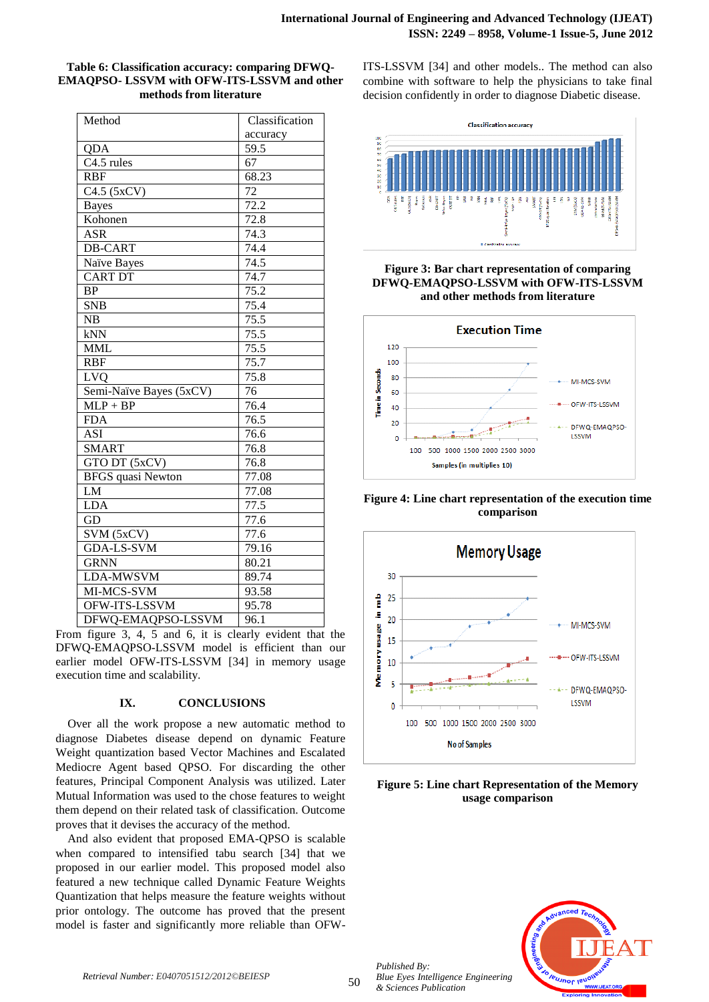| Table 6: Classification accuracy: comparing DFWQ- |
|---------------------------------------------------|
| EMAOPSO- LSSVM with OFW-ITS-LSSVM and other       |
| methods from literature                           |

| Method                   | Classification    |
|--------------------------|-------------------|
|                          | accuracy          |
| QDA                      | 59.5              |
| $C4.5$ rules             | 67                |
| <b>RBF</b>               | 68.23             |
| $\overline{C4.5(5xCV)}$  | 72                |
| <b>Bayes</b>             | $\overline{72.2}$ |
| Kohonen                  | 72.8              |
| <b>ASR</b>               | 74.3              |
| <b>DB-CART</b>           | 74.4              |
| Naïve Bayes              | 74.5              |
| <b>CART DT</b>           | 74.7              |
| <b>BP</b>                | 75.2              |
| <b>SNB</b>               | 75.4              |
| NB                       | 75.5              |
| kNN                      | $\overline{75.5}$ |
| <b>MML</b>               | $\overline{75.5}$ |
| <b>RBF</b>               | 75.7              |
| LVQ                      | 75.8              |
| Semi-Naïve Bayes (5xCV)  | 76                |
| $MLP + BP$               | 76.4              |
| <b>FDA</b>               | $\overline{76.5}$ |
| $\overline{ASI}$         | $\frac{76.6}{ }$  |
| <b>SMART</b>             | 76.8              |
| GTO DT (5xCV)            | 76.8              |
| <b>BFGS</b> quasi Newton | 77.08             |
| LM                       | 77.08             |
| <b>LDA</b>               | 77.5              |
| GD                       | 77.6              |
| SVM (5xCV)               | 77.6              |
| <b>GDA-LS-SVM</b>        | 79.16             |
| <b>GRNN</b>              | 80.21             |
| LDA-MWSVM                | 89.74             |
| MI-MCS-SVM               | 93.58             |
| OFW-ITS-LSSVM            | 95.78             |
| DFWQ-EMAQPSO-LSSVM       | 96.1              |

From figure 3, 4, 5 and 6, it is clearly evident that the DFWQ-EMAQPSO-LSSVM model is efficient than our earlier model OFW-ITS-LSSVM [34] in memory usage execution time and scalability.

## **IX. CONCLUSIONS**

Over all the work propose a new automatic method to diagnose Diabetes disease depend on dynamic Feature Weight quantization based Vector Machines and Escalated Mediocre Agent based QPSO. For discarding the other features, Principal Component Analysis was utilized. Later Mutual Information was used to the chose features to weight them depend on their related task of classification. Outcome proves that it devises the accuracy of the method.

And also evident that proposed EMA-QPSO is scalable when compared to intensified tabu search [34] that we proposed in our earlier model. This proposed model also featured a new technique called Dynamic Feature Weights Quantization that helps measure the feature weights without prior ontology. The outcome has proved that the present model is faster and significantly more reliable than OFW- ITS-LSSVM [34] and other models.. The method can also combine with software to help the physicians to take final decision confidently in order to diagnose Diabetic disease.



# **Figure 3: Bar chart representation of comparing DFWQ-EMAQPSO-LSSVM with OFW-ITS-LSSVM and other methods from literature**



**Figure 4: Line chart representation of the execution time comparison**



# **Figure 5: Line chart Representation of the Memory usage comparison**



*Retrieval Number: E0407051512/2012©BEIESP*

*Published By:*

*& Sciences Publication*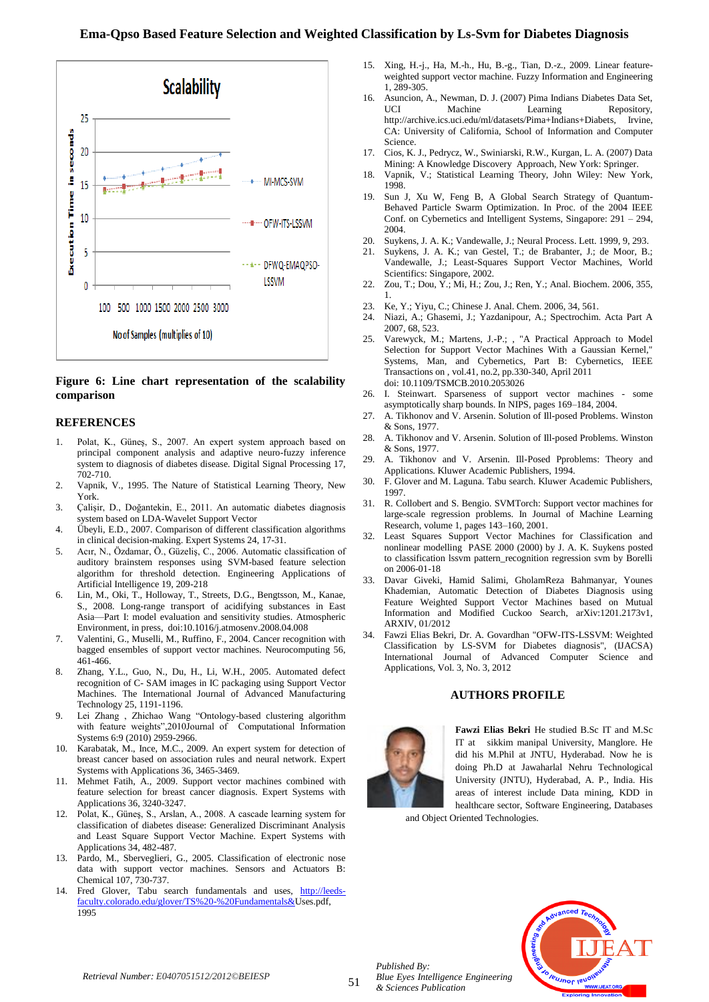

**Figure 6: Line chart representation of the scalability comparison**

## **REFERENCES**

- 1. Polat, K., Güneş, S., 2007. An expert system approach based on principal component analysis and adaptive neuro-fuzzy inference system to diagnosis of diabetes disease. Digital Signal Processing 17, 702-710.
- 2. Vapnik, V., 1995. The Nature of Statistical Learning Theory, New York.
- 3. Çalişir, D., Doğantekin, E., 2011. An automatic diabetes diagnosis system based on LDA-Wavelet Support Vector
- 4. Übeyli, E.D., 2007. Comparison of different classification algorithms in clinical decision-making. Expert Systems 24, 17-31.
- 5. Acır, N., Özdamar, Ö., Güzeliş, C., 2006. Automatic classification of auditory brainstem responses using SVM-based feature selection algorithm for threshold detection. Engineering Applications of Artificial Intelligence 19, 209-218
- 6. Lin, M., Oki, T., Holloway, T., Streets, D.G., Bengtsson, M., Kanae, S., 2008. Long-range transport of acidifying substances in East Asia—Part I: model evaluation and sensitivity studies. Atmospheric Environment, in press, doi:10.1016/j.atmosenv.2008.04.008
- 7. Valentini, G., Muselli, M., Ruffino, F., 2004. Cancer recognition with bagged ensembles of support vector machines. Neurocomputing 56, 461-466.
- 8. Zhang, Y.L., Guo, N., Du, H., Li, W.H., 2005. Automated defect recognition of C- SAM images in IC packaging using Support Vector Machines. The International Journal of Advanced Manufacturing Technology 25, 1191-1196.
- 9. Lei Zhang, Zhichao Wang "Ontology-based clustering algorithm with feature weights",2010Journal of Computational Information Systems 6:9 (2010) 2959-2966.
- 10. Karabatak, M., Ince, M.C., 2009. An expert system for detection of breast cancer based on association rules and neural network. Expert Systems with Applications 36, 3465-3469.
- 11. Mehmet Fatih, A., 2009. Support vector machines combined with feature selection for breast cancer diagnosis. Expert Systems with Applications 36, 3240-3247.
- 12. Polat, K., Güneş, S., Arslan, A., 2008. A cascade learning system for classification of diabetes disease: Generalized Discriminant Analysis and Least Square Support Vector Machine. Expert Systems with Applications 34, 482-487.
- 13. Pardo, M., Sberveglieri, G., 2005. Classification of electronic nose data with support vector machines. Sensors and Actuators B: Chemical 107, 730-737.
- 14. Fred Glover, Tabu search fundamentals and uses, [http://leeds](http://leeds-faculty.colorado.edu/glover/TS%20-%20Fundamentals%26)[faculty.colorado.edu/glover/TS%20-%20Fundamentals&U](http://leeds-faculty.colorado.edu/glover/TS%20-%20Fundamentals%26)ses.pdf, 1995
- 15. Xing, H.-j., Ha, M.-h., Hu, B.-g., Tian, D.-z., 2009. Linear featureweighted support vector machine. Fuzzy Information and Engineering 1, 289-305.
- 16. Asuncion, A., Newman, D. J. (2007) Pima Indians Diabetes Data Set,<br>UCI Machine Learning Repository, Repository, http://archive.ics.uci.edu/ml/datasets/Pima+Indians+Diabets, Irvine, CA: University of California, School of Information and Computer **Science**
- 17. Cios, K. J., Pedrycz, W., Swiniarski, R.W., Kurgan, L. A. (2007) Data Mining: A Knowledge Discovery Approach, New York: Springer.
- 18. Vapnik, V.; Statistical Learning Theory, John Wiley: New York, 1998.
- 19. Sun J, Xu W, Feng B, A Global Search Strategy of Quantum-Behaved Particle Swarm Optimization. In Proc. of the 2004 IEEE Conf. on Cybernetics and Intelligent Systems, Singapore: 291 – 294, 2004.
- 20. Suykens, J. A. K.; Vandewalle, J.; Neural Process. Lett. 1999, 9, 293.
- 21. Suykens, J. A. K.; van Gestel, T.; de Brabanter, J.; de Moor, B.; Vandewalle, J.; Least-Squares Support Vector Machines, World Scientifics: Singapore, 2002.
- 22. Zou, T.; Dou, Y.; Mi, H.; Zou, J.; Ren, Y.; Anal. Biochem. 2006, 355, 1.
- 23. Ke, Y.; Yiyu, C.; Chinese J. Anal. Chem. 2006, 34, 561.
- 24. Niazi, A.; Ghasemi, J.; Yazdanipour, A.; Spectrochim. Acta Part A 2007, 68, 523.
- 25. Varewyck, M.; Martens, J.-P.; , "A Practical Approach to Model Selection for Support Vector Machines With a Gaussian Kernel," Systems, Man, and Cybernetics, Part B: Cybernetics, IEEE Transactions on , vol.41, no.2, pp.330-340, April 2011 doi: 10.1109/TSMCB.2010.2053026
- 26. I. Steinwart. Sparseness of support vector machines some asymptotically sharp bounds. In NIPS, pages 169–184, 2004.
- 27. A. Tikhonov and V. Arsenin. Solution of Ill-posed Problems. Winston & Sons, 1977.
- 28. A. Tikhonov and V. Arsenin. Solution of Ill-posed Problems. Winston & Sons, 1977.
- 29. A. Tikhonov and V. Arsenin. Ill-Posed Pproblems: Theory and Applications. Kluwer Academic Publishers, 1994.
- 30. F. Glover and M. Laguna. Tabu search. Kluwer Academic Publishers, 1997.
- 31. R. Collobert and S. Bengio. SVMTorch: Support vector machines for large-scale regression problems. In Journal of Machine Learning Research, volume 1, pages 143–160, 2001.
- 32. Least Squares Support Vector Machines for Classification and nonlinear modelling PASE 2000 (2000) by J. A. K. Suykens posted to classification lssvm pattern\_recognition regression svm by Borelli on 2006-01-18
- 33. Davar Giveki, Hamid Salimi, GholamReza Bahmanyar, Younes Khademian, Automatic Detection of Diabetes Diagnosis using Feature Weighted Support Vector Machines based on Mutual Information and Modified Cuckoo Search, arXiv:1201.2173v1, ARXIV, 01/2012
- 34. Fawzi Elias Bekri, Dr. A. Govardhan "OFW-ITS-LSSVM: Weighted Classification by LS-SVM for Diabetes diagnosis", (IJACSA) International Journal of Advanced Computer Science and Applications, Vol. 3, No. 3, 2012

## **AUTHORS PROFILE**



*Published By:*

*& Sciences Publication* 

*Blue Eyes Intelligence Engineering* 

**Fawzi Elias Bekri** He studied B.Sc IT and M.Sc IT at sikkim manipal University, Manglore. He did his M.Phil at JNTU, Hyderabad. Now he is doing Ph.D at Jawaharlal Nehru Technological University (JNTU), Hyderabad, A. P., India. His areas of interest include Data mining, KDD in healthcare sector, Software Engineering, Databases

and Object Oriented Technologies.